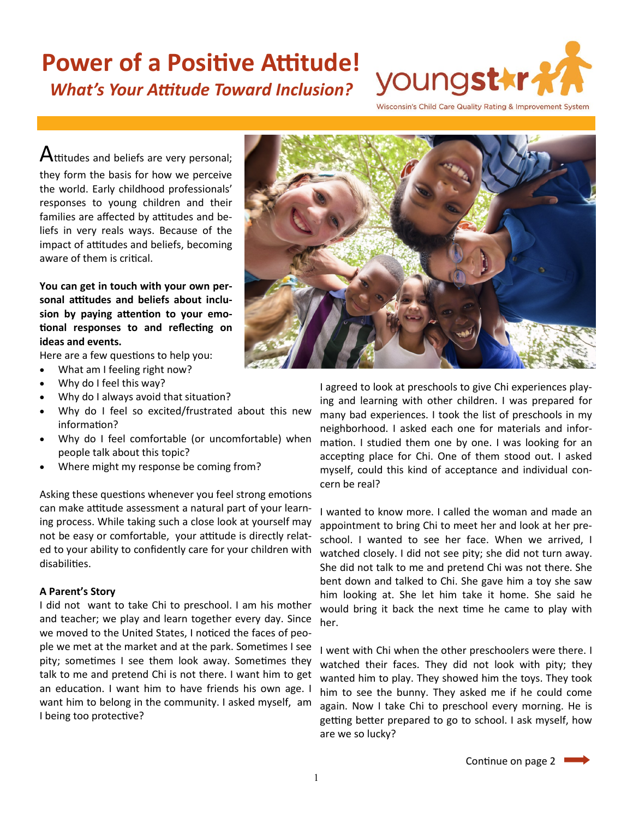## **Power of a Positive Attitude!** *What's Your Attitude Toward Inclusion?*

youngst\*r-

Wisconsin's Child Care Quality Rating & Improvement System

 $A$ ttitudes and beliefs are very personal; they form the basis for how we perceive the world. Early childhood professionals' responses to young children and their families are affected by attitudes and beliefs in very reals ways. Because of the impact of attitudes and beliefs, becoming aware of them is critical.

**You can get in touch with your own personal attitudes and beliefs about inclusion by paying attention to your emotional responses to and reflecting on ideas and events.** 

Here are a few questions to help you:

- What am I feeling right now?
- Why do I feel this way?
- Why do I always avoid that situation?
- Why do I feel so excited/frustrated about this new information?
- Why do I feel comfortable (or uncomfortable) when people talk about this topic?
- Where might my response be coming from?

Asking these questions whenever you feel strong emotions can make attitude assessment a natural part of your learning process. While taking such a close look at yourself may not be easy or comfortable, your attitude is directly related to your ability to confidently care for your children with disabilities.

### **A Parent's Story**

I did not want to take Chi to preschool. I am his mother and teacher; we play and learn together every day. Since we moved to the United States, I noticed the faces of people we met at the market and at the park. Sometimes I see pity; sometimes I see them look away. Sometimes they talk to me and pretend Chi is not there. I want him to get an education. I want him to have friends his own age. I want him to belong in the community. I asked myself, am I being too protective?



I agreed to look at preschools to give Chi experiences playing and learning with other children. I was prepared for many bad experiences. I took the list of preschools in my neighborhood. I asked each one for materials and information. I studied them one by one. I was looking for an accepting place for Chi. One of them stood out. I asked myself, could this kind of acceptance and individual concern be real?

I wanted to know more. I called the woman and made an appointment to bring Chi to meet her and look at her preschool. I wanted to see her face. When we arrived, I watched closely. I did not see pity; she did not turn away. She did not talk to me and pretend Chi was not there. She bent down and talked to Chi. She gave him a toy she saw him looking at. She let him take it home. She said he would bring it back the next time he came to play with her.

I went with Chi when the other preschoolers were there. I watched their faces. They did not look with pity; they wanted him to play. They showed him the toys. They took him to see the bunny. They asked me if he could come again. Now I take Chi to preschool every morning. He is getting better prepared to go to school. I ask myself, how are we so lucky?